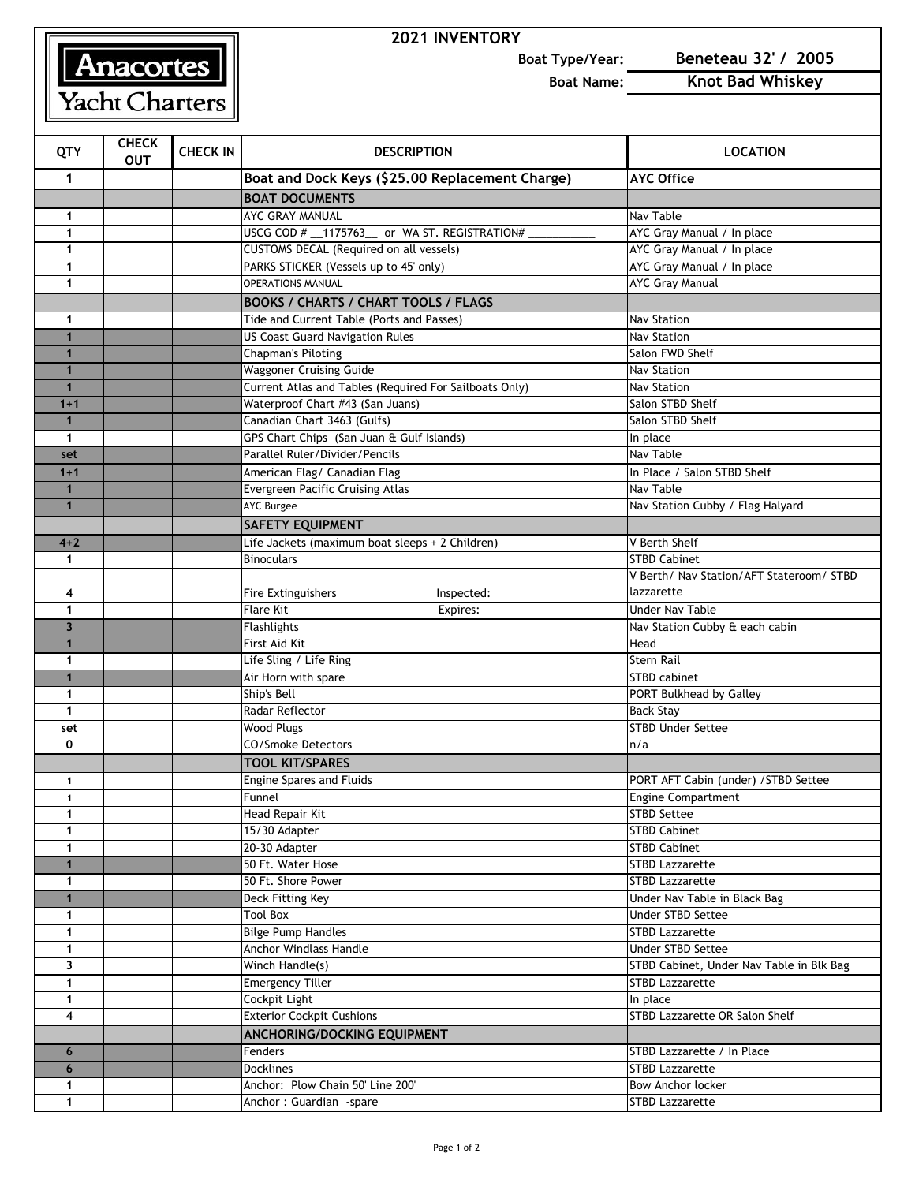## **Anacortes**

## **2021 INVENTORY**

**Boat Type/Year: Beneteau 32' / 2005**

**Boat Name: Knot Bad Whiskey**

| QTY                          | <b>CHECK</b><br><b>OUT</b> | <b>CHECK IN</b> | <b>DESCRIPTION</b>                                     | <b>LOCATION</b>                                                    |
|------------------------------|----------------------------|-----------------|--------------------------------------------------------|--------------------------------------------------------------------|
| 1                            |                            |                 | Boat and Dock Keys (\$25.00 Replacement Charge)        | <b>AYC Office</b>                                                  |
|                              |                            |                 | <b>BOAT DOCUMENTS</b>                                  |                                                                    |
| 1                            |                            |                 | AYC GRAY MANUAL                                        | Nav Table                                                          |
| $\mathbf{1}$                 |                            |                 | USCG COD # __ 1175763_ or WA ST. REGISTRATION#         | AYC Gray Manual / In place                                         |
| 1                            |                            |                 | CUSTOMS DECAL (Required on all vessels)                | AYC Gray Manual / In place                                         |
| 1                            |                            |                 | PARKS STICKER (Vessels up to 45' only)                 | AYC Gray Manual / In place                                         |
| $\mathbf{1}$                 |                            |                 | <b>OPERATIONS MANUAL</b>                               | <b>AYC Gray Manual</b>                                             |
|                              |                            |                 | <b>BOOKS / CHARTS / CHART TOOLS / FLAGS</b>            |                                                                    |
| $\mathbf{1}$                 |                            |                 | Tide and Current Table (Ports and Passes)              | <b>Nav Station</b>                                                 |
| $\mathbf{1}$                 |                            |                 | <b>US Coast Guard Navigation Rules</b>                 | <b>Nav Station</b>                                                 |
| $\mathbf{1}$                 |                            |                 | <b>Chapman's Piloting</b>                              | Salon FWD Shelf                                                    |
| $\mathbf{1}$                 |                            |                 | <b>Waggoner Cruising Guide</b>                         | <b>Nav Station</b>                                                 |
| $\mathbf{1}$                 |                            |                 | Current Atlas and Tables (Required For Sailboats Only) | <b>Nav Station</b>                                                 |
| $1 + 1$                      |                            |                 | Waterproof Chart #43 (San Juans)                       | Salon STBD Shelf                                                   |
| $\mathbf{1}$                 |                            |                 | Canadian Chart 3463 (Gulfs)                            | Salon STBD Shelf                                                   |
| $\mathbf{1}$                 |                            |                 | GPS Chart Chips (San Juan & Gulf Islands)              | In place                                                           |
| set                          |                            |                 | Parallel Ruler/Divider/Pencils                         | Nav Table                                                          |
| $1 + 1$                      |                            |                 | American Flag/ Canadian Flag                           | In Place / Salon STBD Shelf                                        |
| $\mathbf{1}$                 |                            |                 | Evergreen Pacific Cruising Atlas                       | Nav Table                                                          |
| $\mathbf{1}$                 |                            |                 | <b>AYC Burgee</b>                                      | Nav Station Cubby / Flag Halyard                                   |
|                              |                            |                 | <b>SAFETY EQUIPMENT</b>                                |                                                                    |
| $4 + 2$                      |                            |                 | Life Jackets (maximum boat sleeps + 2 Children)        | V Berth Shelf                                                      |
| 1                            |                            |                 | <b>Binoculars</b>                                      | <b>STBD Cabinet</b>                                                |
|                              |                            |                 |                                                        | V Berth/ Nav Station/AFT Stateroom/ STBD                           |
| 4                            |                            |                 | Fire Extinguishers<br>Inspected:                       | lazzarette                                                         |
| 1                            |                            |                 | <b>Flare Kit</b><br>Expires:                           | <b>Under Nav Table</b>                                             |
| $\overline{3}$               |                            |                 | <b>Flashlights</b>                                     | Nav Station Cubby & each cabin                                     |
| $\mathbf{1}$                 |                            |                 | First Aid Kit                                          | Head                                                               |
| 1                            |                            |                 | Life Sling / Life Ring                                 | <b>Stern Rail</b>                                                  |
| $\mathbf{1}$                 |                            |                 | Air Horn with spare                                    | STBD cabinet                                                       |
| $\mathbf{1}$                 |                            |                 | Ship's Bell                                            | PORT Bulkhead by Galley                                            |
| $\mathbf{1}$                 |                            |                 | Radar Reflector                                        | <b>Back Stay</b>                                                   |
| set                          |                            |                 | <b>Wood Plugs</b>                                      | <b>STBD Under Settee</b>                                           |
| 0                            |                            |                 | CO/Smoke Detectors                                     | n/a                                                                |
|                              |                            |                 | <b>TOOL KIT/SPARES</b>                                 |                                                                    |
| 1                            |                            |                 | Engine Spares and Fluids                               | PORT AFT Cabin (under) / STBD Settee                               |
| $\mathbf{1}$                 |                            |                 | Funnel                                                 | Engine Compartment                                                 |
| 1                            |                            |                 | Head Repair Kit                                        | <b>STBD Settee</b>                                                 |
| 1                            |                            |                 | 15/30 Adapter                                          | <b>STBD Cabinet</b>                                                |
| $\mathbf{1}$                 |                            |                 | 20-30 Adapter                                          | <b>STBD Cabinet</b>                                                |
| $\mathbf{1}$                 |                            |                 | 50 Ft. Water Hose                                      | <b>STBD Lazzarette</b>                                             |
| $\mathbf{1}$                 |                            |                 | 50 Ft. Shore Power                                     | <b>STBD Lazzarette</b>                                             |
| $\mathbf{1}$                 |                            |                 | Deck Fitting Key                                       | Under Nav Table in Black Bag                                       |
| $\mathbf{1}$                 |                            |                 | <b>Tool Box</b>                                        | <b>Under STBD Settee</b><br><b>STBD Lazzarette</b>                 |
| $\mathbf{1}$                 |                            |                 | <b>Bilge Pump Handles</b>                              |                                                                    |
| $\mathbf{1}$                 |                            |                 | Anchor Windlass Handle                                 | Under STBD Settee                                                  |
| 3                            |                            |                 | Winch Handle(s)                                        | STBD Cabinet, Under Nav Table in Blk Bag<br><b>STBD Lazzarette</b> |
| $\mathbf{1}$<br>$\mathbf{1}$ |                            |                 | <b>Emergency Tiller</b>                                |                                                                    |
| $\overline{\mathbf{4}}$      |                            |                 | Cockpit Light<br><b>Exterior Cockpit Cushions</b>      | In place<br>STBD Lazzarette OR Salon Shelf                         |
|                              |                            |                 |                                                        |                                                                    |
|                              |                            |                 | ANCHORING/DOCKING EQUIPMENT                            | STBD Lazzarette / In Place                                         |
| 6<br>6                       |                            |                 | Fenders<br><b>Docklines</b>                            | <b>STBD Lazzarette</b>                                             |
| $\mathbf{1}$                 |                            |                 | Anchor: Plow Chain 50' Line 200'                       | <b>Bow Anchor locker</b>                                           |
| $\mathbf{1}$                 |                            |                 | Anchor: Guardian -spare                                | <b>STBD Lazzarette</b>                                             |
|                              |                            |                 |                                                        |                                                                    |